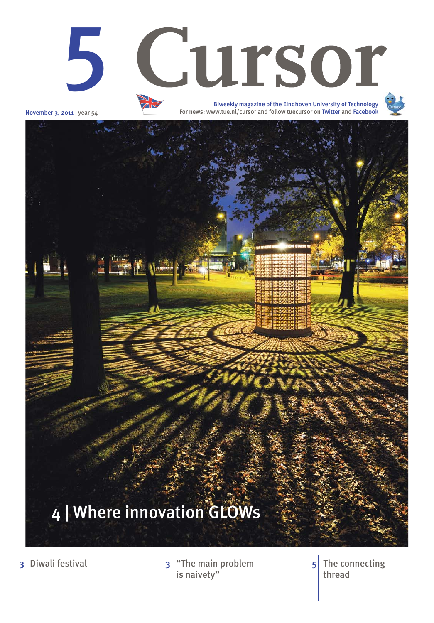November 3, 2011 | year 54

<u>icat</u>

3 Diwali festival **3** The main problem The connecting is naivety"

thread 5





For news: www.tue.nl/cursor and follow tuecursor on Twitter and Facebook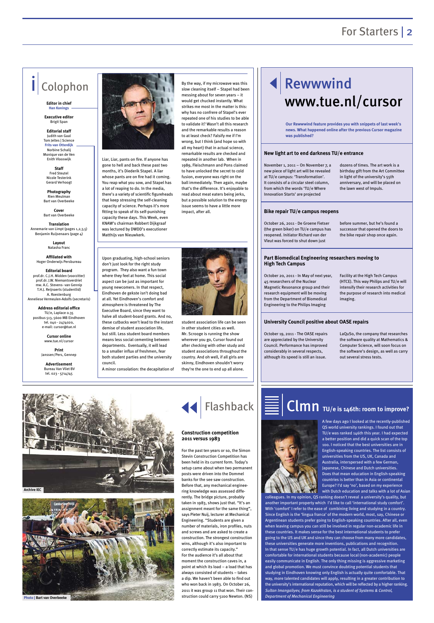### For Starters | 2

Liar, Liar, pants on fire. If anyone has gone to hell and back these past two months, it's Diederik Stapel. A liar whose pants are on fire had it coming. You reap what you sow, and Stapel has a lot of reaping to do. In the media, there's a variety of scientific figureheads that keep stressing the self-cleaning capacity of science. Perhaps it's more fitting to speak of its self-punishing capacity these days. This Week, even KNAW's chairman Robbert Dijkgraaf was lectured by DWDD's executioner Matthijs van Nieuwkerk.

**Translation** Annemarie van Limpt (pages 1,2,3,5) Benjamin Ruijsenaars (page 4)





# Rewwwind www.tue.nl/cursor

## Colophon

**Editor in chief Han Konings**

**Executive editor**  Brigit Span

**Editorial staff** Judith van Gaal Tom Jeltes | Science **Frits van Otterdijk** Norbine Schalij Monique van de Ven Enith Vlooswijk

**Staff**  Fred Steutel Nicole Testerink Gerard Verhoogt

**Photography**  Rien Meulman Bart van Overbeeke

**Cover** Bart van Overbeeke

> **Layout** Natasha Franc

**Affiliated with**  Hoger Onderwijs Persbureau

**Editorial board** prof.dr. C.J.H. Midden (voorzitter) prof.dr. J.W. Niemantsverdriet mw. A.C. Stevens- van Gennin T.H.J. Reijnaerts (studentlid) A. Roestenburg Anneliese Vermeulen-Adolfs (secretaris)

**Address editorial office** TU/e, Laplace 0.35 postbus 513, 5600 MB Eindhoven tel. 040 - 2474020, e-mail: cursor@tue.nl

> **Cursor online** www.tue.nl/cursor

**Print** Janssen/Pers, Gennep

**Advertisement** Bureau Van Vliet BV tel. 023 - 5714745



November 1, 2011 – On November 7, a new piece of light art will be revealed at TU/e campus: 'Transformation'. It consists of a circular steel column, from which the words 'TU/e Where Innovation Starts' are projected

dozens of times. The art work is a birthday gift from the Art Committee in light of the university's 55th anniversary, and will be placed on the lawn west of Impuls.

October 26, 2011 - De Groene Fietser (the green biker) on TU/e campus has reopened. Initiator Richard van der Vleut was forced to shut down just

before summer, but he's found a successor that opened the doors to the bike repair shop once again.

October 19, 2011 - The OASE repairs are appreciated by the University Council. Performance has improved considerably in several respects, although its speed is still an issue.

LaQuSo, the company that researches the software quality at Mathematics & Computer Science, will soon focus on the software's design, as well as carry out several stress tests.



October 20, 2011 - In May of next year, 45 researchers of the Nuclear Magnetic Resonance group and their research equipment will be moving from the Department of Biomedical Engineering to the Philips Imaging

Facility at the High Tech Campus (HTCE). This way Philips and TU/e will intensify their research activities for the purpose of research into medical imaging.

#### **New light art to end darkness TU/e entrance**

#### **Bike repair TU/e campus reopens**

#### **University Council positive about OASE repairs**

#### **Part Biomedical Engineering researchers moving to High Tech Campus**

**Our Rewwwind feature provides you with snippets of last week's news. What happened online after the previous Cursor magazine was published?**

Upon graduating, high-school seniors don't just look for the right study program. They also want a fun town where they feel at home. This social aspect can be just as important for young newcomers. In that respect, Eindhoven de gekste isn't doing bad at all. Yet Eindhoven's comfort and atmosphere is threatened by The Executive Board, since they want to halve all student-board grants. And no, these cutbacks won't lead to the instant demise of student association life, but still. Less student board members means less social cementing between departments. Eventually, it will lead to a smaller influx of freshmen, fear both student parties and the university council.

A minor consolation: the decapitation of

student association life can be seen in other student cities as well. Mr. Scrooge is running the show wherever you go, Cursor found out after checking with other study and student associations throughout the country. And oh well, if all girls are skinny, Eindhoven shouldn't worry they're the one to end up all alone.

> A few days ago I looked at the recently-published QS world university rankings. I found out that TU/e was ranked 146th this year. I had expected a better position and did a quick scan of the top 100. I noticed that the best universities are in English-speaking countries. The list consists of universities from the US, UK, Canada and Australia, interspersed with a few German, Japanese, Chinese and Dutch universities. Does that mean education in English-speaking

countries is better than in Asia or continental Europe? I'd say 'no', based on my experience with Dutch education and talks with a lot of Asian

colleagues. In my opinion, QS ranking doesn't reveal a university's quality, but another important property which I'd like to call 'international study comfort'. With 'comfort' I refer to the ease of combining living and studying in a country. Since English is the 'lingua franca' of the modern world, most, say, Chinese or Argentinean students prefer going to English-speaking countries. After all, even when leaving campus you can still be involved in regular non-academic life in these countries. It makes sense for the best international students to prefer going to the US and UK and since they can choose from many more candidates, these universities generate more inventions, publications and recognition. In that sense TU/e has huge growth potential. In fact, all Dutch universities are comfortable for international students because local (non-academic) people easily communicate in English. The only thing missing is aggressive marketing and global promotion. We must convince doubting potential students that studying in Eindhoven knowing only English is actually quite comfortable. That way, more talented candidates will apply, resulting in a greater contribution to the university's international reputation, which will be reflected by a higher ranking. *Sultan Imangaliyev, from Kazakhstan, is a student of Systems & Control, Department of Mechanical Engineering*

## Clmn **TU/e is 146th: room to improve?**

For the past ten years or so, the Simon Stevin Construction Competition has been held in its current form. Today's setup came about when two permanent posts were driven into the Dommel

banks for the see saw construction. Before that, any mechanical engineering knowledge was assessed differently. The bridge picture, probably taken in 1983, shows just that. "It's an assignment meant for the same thing", says Pieter Nuij, lecturer at Mechanical Engineering. "Students are given a number of materials, iron profiles, nuts and screws and are asked to create a construction. The strongest construction wins, although it's also important to correctly estimate its capacity." For the audience it's all about that moment the construction caves in, a point at which its load – a load that has always consisted of students – takes a dip. We haven't been able to find out who won back in 1983. On October 26, 2011 it was group 11 that won. Their construction could carry 5100 Newton. (NS)



#### **Construction competition 2011 versus 1983**





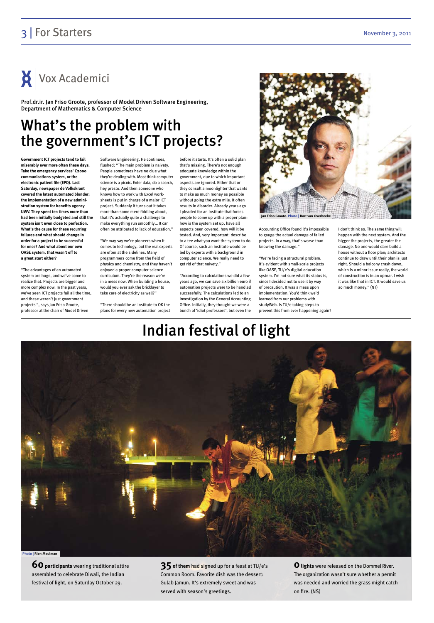### 3 | For Starters November 3, 2011



**60 participants** wearing traditional attire assembled to celebrate Diwali, the Indian festival of light, on Saturday October 29.

**35 of them** had signed up for a feast at TU/e's Common Room. Favorite dish was the dessert: Gulab Jamun. It's extremely sweet and was served with season's greetings.

**0 lights** were released on the Dommel River. The organization wasn't sure whether a permit was needed and worried the grass might catch on fire. (NS)

# Indian festival of light

Vox Academici

## What's the problem with the government's ICT projects?

**Government ICT projects tend to fail miserably ever more often these days. Take the emergency services' C2000 communications system, or the electronic patient file (EPD). Last Saturday, newspaper de Volkskrant covered the latest automated blunder: the implementation of a new administration system for benefits agency UWV. They spent ten times more than had been initially budgeted and still the system isn't even close to perfection. What's the cause for these recurring failures and what should change in order for a project to be successful for once? And what about our own OASE system, that wasn't off to a great start either?**

"The advantages of an automated system are huge, and we've come to realize that. Projects are bigger and more complex now. In the past years, we've seen ICT projects fail all the time, and these weren't just government projects ", says Jan Friso Groote, professor at the chair of Model Driven

Software Engineering. He continues, flushed: "The main problem is naivety. People sometimes have no clue what they're dealing with. Most think computer science is a picnic. Enter data, do a search, hey presto. And then someone who knows how to work with Excel worksheets is put in charge of a major ICT project. Suddenly it turns out it takes more than some mere fiddling about, that it's actually quite a challenge to make everything run smoothly… It can often be attributed to lack of education."

"We may say we're pioneers when it comes to technology, but the real experts are often at the sidelines. Many programmers come from the field of physics and chemistry, and they haven't enjoyed a proper computer science curriculum. They're the reason we're in a mess now. When building a house, would you ever ask the bricklayer to take care of electricity as well?"

"There should be an institute to OK the plans for every new automation project

before it starts. It's often a solid plan that's missing. There's not enough adequate knowledge within the government, due to which important aspects are ignored. Either that or they consult a moonlighter that wants to make as much money as possible without going the extra mile. It often results in disorder. Already years ago I pleaded for an institute that forces people to come up with a proper plan: how is the system set up, have all aspects been covered, how will it be tested. And, very important: describe to a tee what you want the system to do. Of course, such an institute would be led by experts with a background in computer science. We really need to get rid of that naivety."

"According to calculations we did a few years ago, we can save six billion euro if automation projects were to be handled successfully. The calculations led to an investigation by the General Accounting Office. Initially, they thought we were a bunch of 'idiot professors', but even the

Accounting Office found it's impossible to gauge the actual damage of failed projects. In a way, that's worse than knowing the damage."

"We're facing a structural problem. It's evident with small-scale projects like OASE, TU/e's digital education system. I'm not sure what its status is, since I decided not to use it by way of precaution. It was a mess upon implementation. You'd think we'd learned from our problems with studyWeb. Is TU/e taking steps to prevent this from ever happening again? I don't think so. The same thing will happen with the next system. And the bigger the projects, the greater the damage. No one would dare build a house without a floor plan; architects continue to draw until their plan is just right. Should a balcony crash down, which is a minor issue really, the world of construction is in an uproar. I wish it was like that in ICT. It would save us so much money." (NT)

Prof.dr.ir. Jan Friso Groote, professor of Model Driven Software Engineering, Department of Mathematics & Computer Science

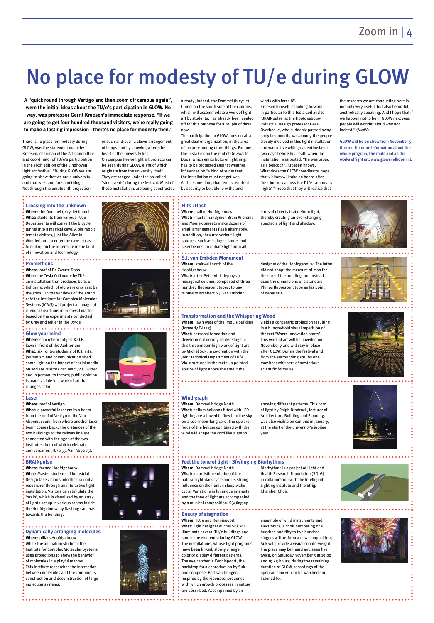# No place for modesty of TU/e during GLOW

There is no place for modesty during GLOW, was the statement made by Kroesen, chairman of the Art Committee and coordinator of TU/e's participation in the sixth edition of the Eindhoven light art festival. "During GLOW we are going to show that we are a university and that we stand for something. Not through the umpteenth projection

or such-and-such a clever arrangement of lamps, but by showing where the heart of the university lies." On campus twelve light art projects can be seen during GLOW, eight of which originate from the university itself. They are ranged under the so-called

'side events' during the festival. Most of these installations are being constructed already; indeed, the Dommel (bicycle) tunnel on the south side of the campus, which will accommodate a work of light art by students, has already been sealed off for this purpose for a couple of days

now.

The participation in GLOW does entail a great deal of organization, in the area of security among other things. For one, the Tesla Coil on the roof of De Zwarte Doos, which emits bolts of lightning, has to be protected against weather influences by "a kind of super tent, the installation must not get wet. At the same time, that tent is required by security to be able to withstand

#### .............. **Crossing into the unknown**

- **Where:** the Dommel (bicycle) tunnel **What:** students from various TU/e Departments will convert the bicycle tunnel into a magical cave. A big rabbit tempts visitors, just like Alice in
- Wonderland, to enter the cave, so as to end up on the other side in the land
- of innovation and technology.

#### winds with force 8".

Kroesen himself is looking forward in particular to this Tesla Coil and to 'BRAINpulse' at the Hoofdgebouw. Industrial Design professor Kees Overbeeke, who suddenly passed away early last month, was among the people closely involved in this light installation and was active with great enthusiasm two days before his death when the installation was tested. "He was proud as a peacock", Kroesen knows. What does the GLOW coordinator hope that visitors will take on board after their journey across the TU/e campus by night? "I hope that they will realize that

the research we are conducting here is not only very useful, but also beautiful, aesthetically speaking. And I hope that if we happen not to be in GLOW next year, people will wonder aloud why not indeed." (MvdV)

**GLOW will be on show from November 5 thru 12. For more information about the whole program, the route and all the works of light art: www.gloweindhoven.nl.**







**A "quick round through Vertigo and then zoom off campus again", were the initial ideas about the TU/e's participation in GLOW. No way, was professor Gerrit Kroesen's immediate response. "If we are going to get four hundred thousand visitors, we're really going to make a lasting impression - there's no place for modesty then."**

#### **Flits /Flash**

#### . . . . . . . . . . . . . . . . **Prometheus**

- **Where:** hall of Hoofdgebouw **What:** 'master handymen Bram Wiersma
- and Moniek Smeets make dozens of small arrangements flash alternately.
- In addition, they use various light sources, such as halogen lamps and

### laser beams, to radiate light onto all

**Where:** concrete art object K.O.E., lawn in front of the Auditorium **What:** six Fontys students of ICT, arts, journalism and communication shed some light on the impact of social media on society. Visitors can react, via Twitter and in person, to theses; public opinion is made visible in a work of art that changes color.

sorts of objects that deform light, thereby creating an ever-changing spectacle of light and shadow.

**S.J. van Embden Monument Where:** stairwell north of the Hoofdgebouw **What:** artist Peter Vink deploys a hexagonal column, composed of three

**Where:** roof of Vertigo **What:** a powerful laser emits a beam from the roof of Vertigo to the Van Abbemuseum, from where another laser beam comes back. The distances of the two buildings to the railway line are connected with the ages of the two institutes, both of which celebrate anniversaries (TU/e 55, Van Abbe 75).

hundred fluorescent tubes, to pay tribute to architect S.J. van Embden, designer of the Hoofdgebouw. The latter did not adopt the measure of man for the size of the building, but instead used the dimensions of a standard Philips fluorescent tube as his point of departure.

### **Wind graph**

**Where:** Dommel bridge North **What:** helium balloons fitted with LED lighting are allowed to flow into the sky on a 100-meter-long cord. The upward force of the helium combined with the wind will shape the cord like a graph

showing different patterns. This cord of light by Ralph Brodruck, lecturer of Architecture, Building and Planning, was also visible on campus in January, at the start of the university's jubilee year.









- **Where:** lawn west of the Impuls building yields a concentric projection resulting in a hundredfold visual repetition of
- (formerly E-laag) **What:** personal formation and development occupy center stage in this three-meter-high work of light art by Michel Suk, in co-creation with the Joint Technical Department of TU/e. Via structures in the metal, a pointed source of light above the steel tube

the text 'Where innovation starts'. This work of art will be unveiled on November 7 and will stay in place



#### natural light-dark cycle and its strong

Biorhythms is a project of Light and Health Research Foundation (SOLG)

in collaboration with the Intelligent Lighting Institute and the Strijp Chamber Choir.

- influence on the human sleep-wake
- cycle. Variations in luminous intensity
- and the tone of light are accompanied
- by a musical composition. S(w)inging **\*\*\*\*\*\*\*\*\*\*\***\*
- **Beauty of stagnation**
- **Where:** TU/e and Kennispoort
- **What:** light designer Michel Suk will
- illuminate several TU/e buildings and
- landscape elements during GLOW.
- The installations, whose light programs
- have been linked, slowly change
- color or display different patterns.
- The eye-catcher is Kennispoort, the
- backdrop for a coproduction by Suk
- and composer Bart van Dongen,
- inspired by the Fibonacci sequence
- with which growth processes in nature
- are described. Accompanied by an

ensemble of wind instruments and electronics, a choir numbering one hundred and fifty to two hundred singers will perform a new composition; Suk will provide a visual counterweight. The piece may be heard and seen live twice, on Saturday November 5 at 19.00 and 19.45 hours; during the remaining duration of GLOW, recordings of the open-air concert can be watched and

listened to.



**Where:** roof of De Zwarte Doos **What:** the Tesla Coil made by TU/e, an installation that produces bolts of lightning, which of old were only cast by the gods. On the windows of the grand café the Institute for Complex Molecular Systems (ICMS) will project an image of chemical reactions in primeval matter, based on the experiments conducted by Urey and Miller in the 1950s

> **Where:** Dommel bridge North **What:** an artistic rendering of the **Feel the tone of light - S(w)inging Biorhythms**

#### **Glow your mind**

### **Laser**

**BRAINpulse**

.........

**Where:** façade Hoofdgebouw **What:** Master students of Industrial

Design take visitors into the brain of a researcher through an interactive light installation. Visitors can stimulate the 'brain', which is visualized by an array of lights set up in various rooms inside

the Hoofdgebouw, by flashing cameras



- **Where:** pillars Hoofdgebouw
- What: the animation studio of the
- Institute for Complex Molecular Systems
- uses projections to show the behavior
- of molecules in a playful manner.
- This institute researches the interaction
- between molecules and the continuous
- construction and deconstruction of large
- molecular systems.



#### **Dynamically arranging molecules**

#### **Transformation and the Whispering Wood**